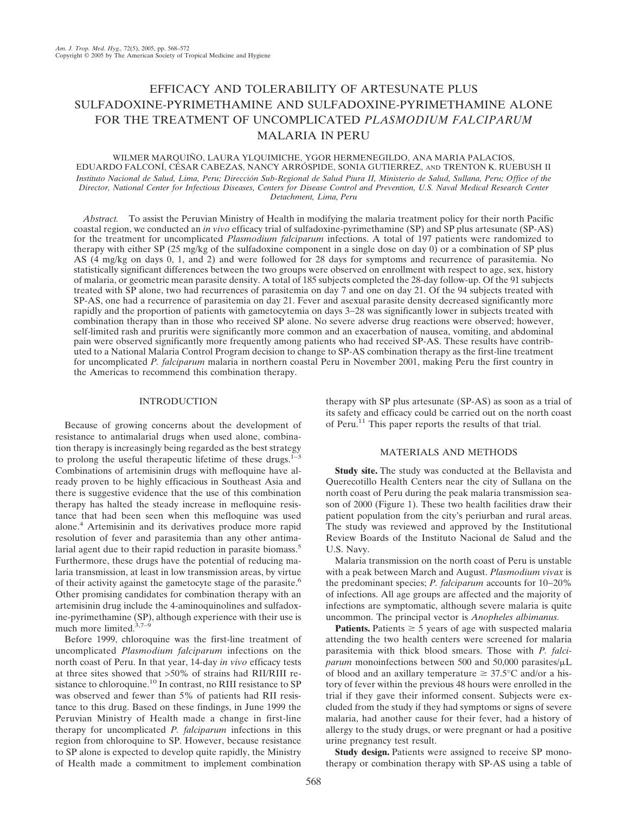# EFFICACY AND TOLERABILITY OF ARTESUNATE PLUS SULFADOXINE-PYRIMETHAMINE AND SULFADOXINE-PYRIMETHAMINE ALONE FOR THE TREATMENT OF UNCOMPLICATED *PLASMODIUM FALCIPARUM* MALARIA IN PERU

WILMER MARQUIÑO, LAURA YLQUIMICHE, YGOR HERMENEGILDO, ANA MARIA PALACIOS, EDUARDO FALCONÍ, CÉSAR CABEZAS, NANCY ARRÓSPIDE, SONIA GUTIERREZ, AND TRENTON K. RUEBUSH II *Instituto Nacional de Salud, Lima, Peru; Dirección Sub-Regional de Salud Piura II, Ministerio de Salud, Sullana, Peru; Office of the Director, National Center for Infectious Diseases, Centers for Disease Control and Prevention, U.S. Naval Medical Research Center Detachment, Lima, Peru*

*Abstract.* To assist the Peruvian Ministry of Health in modifying the malaria treatment policy for their north Pacific coastal region, we conducted an *in vivo* efficacy trial of sulfadoxine-pyrimethamine (SP) and SP plus artesunate (SP-AS) for the treatment for uncomplicated *Plasmodium falciparum* infections. A total of 197 patients were randomized to therapy with either SP (25 mg/kg of the sulfadoxine component in a single dose on day 0) or a combination of SP plus AS (4 mg/kg on days 0, 1, and 2) and were followed for 28 days for symptoms and recurrence of parasitemia. No statistically significant differences between the two groups were observed on enrollment with respect to age, sex, history of malaria, or geometric mean parasite density. A total of 185 subjects completed the 28-day follow-up. Of the 91 subjects treated with SP alone, two had recurrences of parasitemia on day 7 and one on day 21. Of the 94 subjects treated with SP-AS, one had a recurrence of parasitemia on day 21. Fever and asexual parasite density decreased significantly more rapidly and the proportion of patients with gametocytemia on days 3−28 was significantly lower in subjects treated with combination therapy than in those who received SP alone. No severe adverse drug reactions were observed; however, self-limited rash and pruritis were significantly more common and an exacerbation of nausea, vomiting, and abdominal pain were observed significantly more frequently among patients who had received SP-AS. These results have contributed to a National Malaria Control Program decision to change to SP-AS combination therapy as the first-line treatment for uncomplicated *P. falciparum* malaria in northern coastal Peru in November 2001, making Peru the first country in the Americas to recommend this combination therapy.

## INTRODUCTION

Because of growing concerns about the development of resistance to antimalarial drugs when used alone, combination therapy is increasingly being regarded as the best strategy to prolong the useful therapeutic lifetime of these drugs. $1-3$ Combinations of artemisinin drugs with mefloquine have already proven to be highly efficacious in Southeast Asia and there is suggestive evidence that the use of this combination therapy has halted the steady increase in mefloquine resistance that had been seen when this mefloquine was used alone.4 Artemisinin and its derivatives produce more rapid resolution of fever and parasitemia than any other antimalarial agent due to their rapid reduction in parasite biomass.<sup>5</sup> Furthermore, these drugs have the potential of reducing malaria transmission, at least in low transmission areas, by virtue of their activity against the gametocyte stage of the parasite.<sup>6</sup> Other promising candidates for combination therapy with an artemisinin drug include the 4-aminoquinolines and sulfadoxine-pyrimethamine (SP), although experience with their use is much more limited. $3,7-\frac{6}{9}$ 

Before 1999, chloroquine was the first-line treatment of uncomplicated *Plasmodium falciparum* infections on the north coast of Peru. In that year, 14-day *in vivo* efficacy tests at three sites showed that >50% of strains had RII/RIII resistance to chloroquine.10 In contrast, no RIII resistance to SP was observed and fewer than 5% of patients had RII resistance to this drug. Based on these findings, in June 1999 the Peruvian Ministry of Health made a change in first-line therapy for uncomplicated *P. falciparum* infections in this region from chloroquine to SP. However, because resistance to SP alone is expected to develop quite rapidly, the Ministry of Health made a commitment to implement combination

therapy with SP plus artesunate (SP-AS) as soon as a trial of its safety and efficacy could be carried out on the north coast of Peru.11 This paper reports the results of that trial.

## MATERIALS AND METHODS

**Study site.** The study was conducted at the Bellavista and Querecotillo Health Centers near the city of Sullana on the north coast of Peru during the peak malaria transmission season of 2000 (Figure 1). These two health facilities draw their patient population from the city's periurban and rural areas. The study was reviewed and approved by the Institutional Review Boards of the Instituto Nacional de Salud and the U.S. Navy.

Malaria transmission on the north coast of Peru is unstable with a peak between March and August. *Plasmodium vivax* is the predominant species; *P. falciparum* accounts for 10−20% of infections. All age groups are affected and the majority of infections are symptomatic, although severe malaria is quite uncommon. The principal vector is *Anopheles albimanus.*

**Patients.** Patients  $\geq$  5 years of age with suspected malaria attending the two health centers were screened for malaria parasitemia with thick blood smears. Those with *P. falci*parum monoinfections between 500 and 50,000 parasites/ $\mu$ L of blood and an axillary temperature  $\geq 37.5^{\circ}$ C and/or a history of fever within the previous 48 hours were enrolled in the trial if they gave their informed consent. Subjects were excluded from the study if they had symptoms or signs of severe malaria, had another cause for their fever, had a history of allergy to the study drugs, or were pregnant or had a positive urine pregnancy test result.

**Study design.** Patients were assigned to receive SP monotherapy or combination therapy with SP-AS using a table of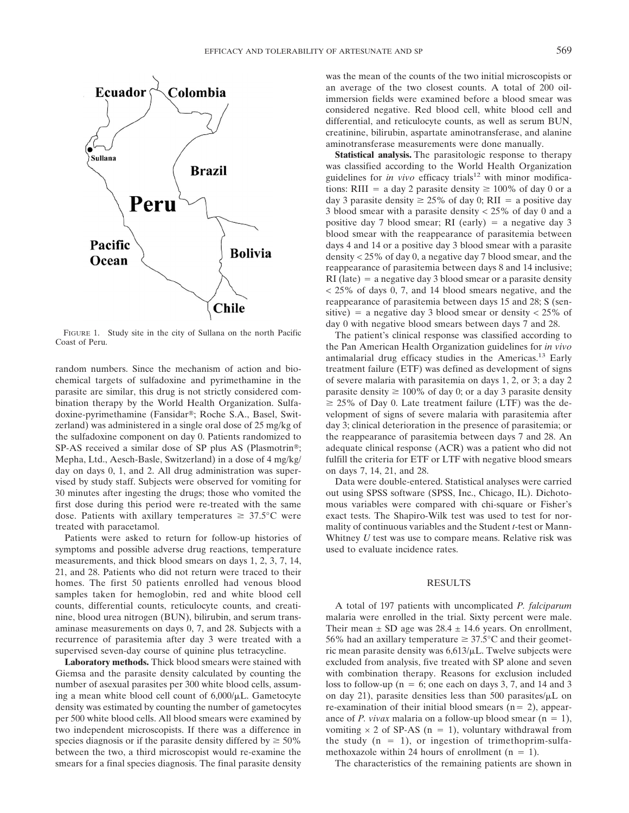

FIGURE 1. Study site in the city of Sullana on the north Pacific Coast of Peru.

random numbers. Since the mechanism of action and biochemical targets of sulfadoxine and pyrimethamine in the parasite are similar, this drug is not strictly considered combination therapy by the World Health Organization. Sulfadoxine-pyrimethamine (Fansidar®; Roche S.A., Basel, Switzerland) was administered in a single oral dose of 25 mg/kg of the sulfadoxine component on day 0. Patients randomized to SP-AS received a similar dose of SP plus AS (Plasmotrin®; Mepha, Ltd., Aesch-Basle, Switzerland) in a dose of 4 mg/kg/ day on days 0, 1, and 2. All drug administration was supervised by study staff. Subjects were observed for vomiting for 30 minutes after ingesting the drugs; those who vomited the first dose during this period were re-treated with the same dose. Patients with axillary temperatures  $\geq 37.5^{\circ}$ C were treated with paracetamol.

Patients were asked to return for follow-up histories of symptoms and possible adverse drug reactions, temperature measurements, and thick blood smears on days 1, 2, 3, 7, 14, 21, and 28. Patients who did not return were traced to their homes. The first 50 patients enrolled had venous blood samples taken for hemoglobin, red and white blood cell counts, differential counts, reticulocyte counts, and creatinine, blood urea nitrogen (BUN), bilirubin, and serum transaminase measurements on days 0, 7, and 28. Subjects with a recurrence of parasitemia after day 3 were treated with a supervised seven-day course of quinine plus tetracycline.

**Laboratory methods.** Thick blood smears were stained with Giemsa and the parasite density calculated by counting the number of asexual parasites per 300 white blood cells, assuming a mean white blood cell count of  $6,000/\mu L$ . Gametocyte density was estimated by counting the number of gametocytes per 500 white blood cells. All blood smears were examined by two independent microscopists. If there was a difference in species diagnosis or if the parasite density differed by  $\geq 50\%$ between the two, a third microscopist would re-examine the smears for a final species diagnosis. The final parasite density was the mean of the counts of the two initial microscopists or an average of the two closest counts. A total of 200 oilimmersion fields were examined before a blood smear was considered negative. Red blood cell, white blood cell and differential, and reticulocyte counts, as well as serum BUN, creatinine, bilirubin, aspartate aminotransferase, and alanine aminotransferase measurements were done manually.

**Statistical analysis.** The parasitologic response to therapy was classified according to the World Health Organization guidelines for *in vivo* efficacy trials<sup>12</sup> with minor modifications: RIII = a day 2 parasite density  $\geq 100\%$  of day 0 or a day 3 parasite density  $\geq 25\%$  of day 0; RII = a positive day 3 blood smear with a parasite density < 25% of day 0 and a positive day 7 blood smear; RI (early)  $=$  a negative day 3 blood smear with the reappearance of parasitemia between days 4 and 14 or a positive day 3 blood smear with a parasite density < 25% of day 0, a negative day 7 blood smear, and the reappearance of parasitemia between days 8 and 14 inclusive;  $RI$  (late) = a negative day 3 blood smear or a parasite density < 25% of days 0, 7, and 14 blood smears negative, and the reappearance of parasitemia between days 15 and 28; S (sensitive) = a negative day 3 blood smear or density  $<$  25% of day 0 with negative blood smears between days 7 and 28.

The patient's clinical response was classified according to the Pan American Health Organization guidelines for *in vivo* antimalarial drug efficacy studies in the Americas.13 Early treatment failure (ETF) was defined as development of signs of severe malaria with parasitemia on days 1, 2, or 3; a day 2 parasite density  $\geq 100\%$  of day 0; or a day 3 parasite density  $\geq$  25% of Day 0. Late treatment failure (LTF) was the development of signs of severe malaria with parasitemia after day 3; clinical deterioration in the presence of parasitemia; or the reappearance of parasitemia between days 7 and 28. An adequate clinical response (ACR) was a patient who did not fulfill the criteria for ETF or LTF with negative blood smears on days 7, 14, 21, and 28.

Data were double-entered. Statistical analyses were carried out using SPSS software (SPSS, Inc., Chicago, IL). Dichotomous variables were compared with chi-square or Fisher's exact tests. The Shapiro-Wilk test was used to test for normality of continuous variables and the Student *t*-test or Mann-Whitney *U* test was use to compare means. Relative risk was used to evaluate incidence rates.

#### RESULTS

A total of 197 patients with uncomplicated *P. falciparum* malaria were enrolled in the trial. Sixty percent were male. Their mean  $\pm$  SD age was 28.4  $\pm$  14.6 years. On enrollment, 56% had an axillary temperature  $\geq 37.5^{\circ}$ C and their geometric mean parasite density was  $6.613/\mu L$ . Twelve subjects were excluded from analysis, five treated with SP alone and seven with combination therapy. Reasons for exclusion included loss to follow-up ( $n = 6$ ; one each on days 3, 7, and 14 and 3 on day 21), parasite densities less than 500 parasites/ $\mu$ L on re-examination of their initial blood smears  $(n=2)$ , appearance of *P. vivax* malaria on a follow-up blood smear  $(n = 1)$ , vomiting  $\times$  2 of SP-AS (n = 1), voluntary withdrawal from the study  $(n = 1)$ , or ingestion of trimethoprim-sulfamethoxazole within 24 hours of enrollment  $(n = 1)$ .

The characteristics of the remaining patients are shown in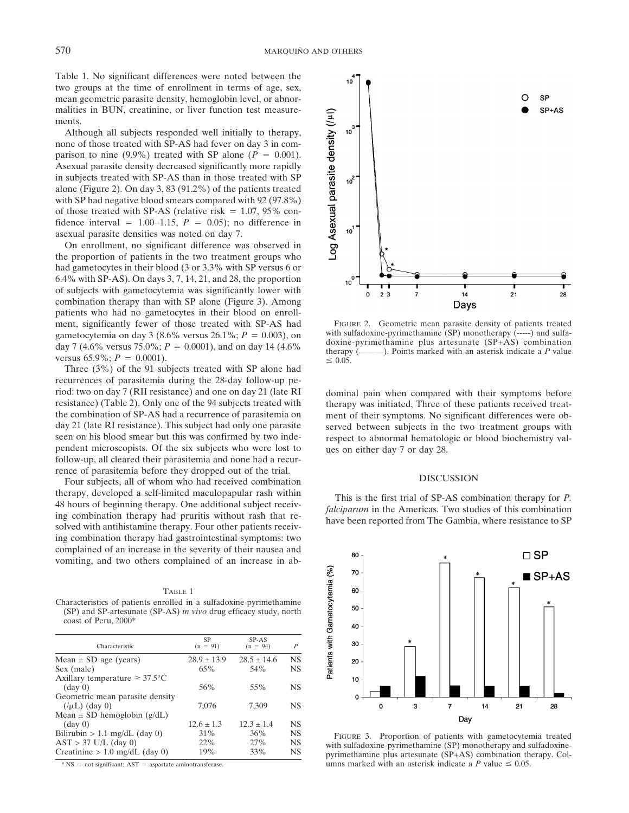Table 1. No significant differences were noted between the two groups at the time of enrollment in terms of age, sex, mean geometric parasite density, hemoglobin level, or abnormalities in BUN, creatinine, or liver function test measurements.

Although all subjects responded well initially to therapy, none of those treated with SP-AS had fever on day 3 in comparison to nine  $(9.9\%)$  treated with SP alone  $(P = 0.001)$ . Asexual parasite density decreased significantly more rapidly in subjects treated with SP-AS than in those treated with SP alone (Figure 2). On day 3, 83 (91.2%) of the patients treated with SP had negative blood smears compared with 92 (97.8%) of those treated with SP-AS (relative risk  $= 1.07, 95\%$  confidence interval =  $1.00-1.15$ ,  $P = 0.05$ ); no difference in asexual parasite densities was noted on day 7.

On enrollment, no significant difference was observed in the proportion of patients in the two treatment groups who had gametocytes in their blood (3 or 3.3% with SP versus 6 or 6.4% with SP-AS). On days 3, 7, 14, 21, and 28, the proportion of subjects with gametocytemia was significantly lower with combination therapy than with SP alone (Figure 3). Among patients who had no gametocytes in their blood on enrollment, significantly fewer of those treated with SP-AS had gametocytemia on day  $3(8.6\% \text{ versus } 26.1\%; P = 0.003)$ , on day 7 (4.6% versus 75.0%;  $P = 0.0001$ ), and on day 14 (4.6%) versus  $65.9\%$ ;  $P = 0.0001$ ).

Three (3%) of the 91 subjects treated with SP alone had recurrences of parasitemia during the 28-day follow-up period: two on day 7 (RII resistance) and one on day 21 (late RI resistance) (Table 2). Only one of the 94 subjects treated with the combination of SP-AS had a recurrence of parasitemia on day 21 (late RI resistance). This subject had only one parasite seen on his blood smear but this was confirmed by two independent microscopists. Of the six subjects who were lost to follow-up, all cleared their parasitemia and none had a recurrence of parasitemia before they dropped out of the trial.

Four subjects, all of whom who had received combination therapy, developed a self-limited maculopapular rash within 48 hours of beginning therapy. One additional subject receiving combination therapy had pruritis without rash that resolved with antihistamine therapy. Four other patients receiving combination therapy had gastrointestinal symptoms: two complained of an increase in the severity of their nausea and vomiting, and two others complained of an increase in ab-

TABLE 1 Characteristics of patients enrolled in a sulfadoxine-pyrimethamine (SP) and SP-artesunate (SP-AS) *in vivo* drug efficacy study, north coast of Peru, 2000\*

| Characteristic                             | <b>SP</b><br>$(n = 91)$ | SP-AS<br>$(n = 94)$ | $\boldsymbol{P}$ |
|--------------------------------------------|-------------------------|---------------------|------------------|
| Mean $\pm$ SD age (years)                  | $28.9 \pm 13.9$         | $28.5 + 14.6$       | NS               |
| Sex (male)                                 | 65%                     | 54%                 | NS               |
| Axillary temperature $\geq 37.5^{\circ}$ C |                         |                     |                  |
| (day 0)                                    | 56%                     | 55%                 | <b>NS</b>        |
| Geometric mean parasite density            |                         |                     |                  |
| $(\mu L)$ (day 0)                          | 7,076                   | 7,309               | NS               |
| Mean $\pm$ SD hemoglobin (g/dL)            |                         |                     |                  |
| (day 0)                                    | $12.6 \pm 1.3$          | $12.3 \pm 1.4$      | NS               |
| Bilirubin > 1.1 mg/dL (day 0)              | 31%                     | 36%                 | NS               |
| $AST > 37$ U/L (day 0)                     | 22%                     | 27%                 | NS               |
| Creatinine $> 1.0$ mg/dL (day 0)           | 19%                     | 33%                 | NS               |
|                                            |                         |                     |                  |

 $*$  NS = not significant; AST = aspartate aminotransferase.



FIGURE 2. Geometric mean parasite density of patients treated with sulfadoxine-pyrimethamine (SP) monotherapy (-----) and sulfadoxine-pyrimethamine plus artesunate (SP+AS) combination therapy (———). Points marked with an asterisk indicate a *P* value  $\leq 0.05$ .

dominal pain when compared with their symptoms before therapy was initiated, Three of these patients received treatment of their symptoms. No significant differences were observed between subjects in the two treatment groups with respect to abnormal hematologic or blood biochemistry values on either day 7 or day 28.

#### DISCUSSION

This is the first trial of SP-AS combination therapy for *P. falciparum* in the Americas. Two studies of this combination have been reported from The Gambia, where resistance to SP



FIGURE 3. Proportion of patients with gametocytemia treated with sulfadoxine-pyrimethamine (SP) monotherapy and sulfadoxinepyrimethamine plus artesunate (SP+AS) combination therapy. Columns marked with an asterisk indicate a *P* value  $\leq 0.05$ .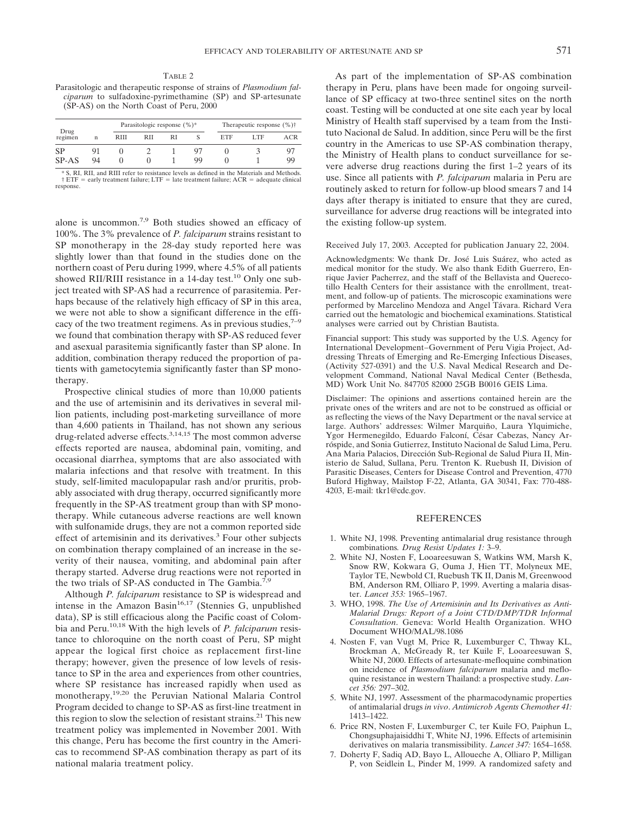TABLE 2 Parasitologic and therapeutic response of strains of *Plasmodium falciparum* to sulfadoxine-pyrimethamine (SP) and SP-artesunate (SP-AS) on the North Coast of Peru, 2000

| Drug<br>regimen |    |      | Parasitologic response $(\%)^*$ |    |    | Therapeutic response $(\% )\dagger$ |     |     |
|-----------------|----|------|---------------------------------|----|----|-------------------------------------|-----|-----|
|                 | n  | RIII | RII                             | RI |    | ETF                                 | LTF | ACR |
| SP              | 91 |      |                                 |    |    |                                     |     | 97  |
| SP-AS           | 94 |      |                                 |    | 99 |                                     |     | 99  |

 $*$  S, RI, RII, and RIII refer to resistance levels as defined in the Materials and Methods.<br>† ETF = early treatment failure; LTF = late treatment failure; ACR = adequate clinical response.

alone is uncommon.7,9 Both studies showed an efficacy of 100%. The 3% prevalence of *P. falciparum* strains resistant to SP monotherapy in the 28-day study reported here was slightly lower than that found in the studies done on the northern coast of Peru during 1999, where 4.5% of all patients showed RII/RIII resistance in a 14-day test.<sup>10</sup> Only one subject treated with SP-AS had a recurrence of parasitemia. Perhaps because of the relatively high efficacy of SP in this area, we were not able to show a significant difference in the efficacy of the two treatment regimens. As in previous studies,  $7-9$ we found that combination therapy with SP-AS reduced fever and asexual parasitemia significantly faster than SP alone. In addition, combination therapy reduced the proportion of patients with gametocytemia significantly faster than SP monotherapy.

Prospective clinical studies of more than 10,000 patients and the use of artemisinin and its derivatives in several million patients, including post-marketing surveillance of more than 4,600 patients in Thailand, has not shown any serious drug-related adverse effects.3,14,15 The most common adverse effects reported are nausea, abdominal pain, vomiting, and occasional diarrhea, symptoms that are also associated with malaria infections and that resolve with treatment. In this study, self-limited maculopapular rash and/or pruritis, probably associated with drug therapy, occurred significantly more frequently in the SP-AS treatment group than with SP monotherapy. While cutaneous adverse reactions are well known with sulfonamide drugs, they are not a common reported side effect of artemisinin and its derivatives.<sup>3</sup> Four other subjects on combination therapy complained of an increase in the severity of their nausea, vomiting, and abdominal pain after therapy started. Adverse drug reactions were not reported in the two trials of SP-AS conducted in The Gambia.<sup>7,9</sup>

Although *P. falciparum* resistance to SP is widespread and intense in the Amazon Basin<sup>16,17</sup> (Stennies G, unpublished data), SP is still efficacious along the Pacific coast of Colombia and Peru.10,18 With the high levels of *P. falciparum* resistance to chloroquine on the north coast of Peru, SP might appear the logical first choice as replacement first-line therapy; however, given the presence of low levels of resistance to SP in the area and experiences from other countries, where SP resistance has increased rapidly when used as monotherapy,19,20 the Peruvian National Malaria Control Program decided to change to SP-AS as first-line treatment in this region to slow the selection of resistant strains.<sup>21</sup> This new treatment policy was implemented in November 2001. With this change, Peru has become the first country in the Americas to recommend SP-AS combination therapy as part of its national malaria treatment policy.

As part of the implementation of SP-AS combination therapy in Peru, plans have been made for ongoing surveillance of SP efficacy at two-three sentinel sites on the north coast. Testing will be conducted at one site each year by local Ministry of Health staff supervised by a team from the Instituto Nacional de Salud. In addition, since Peru will be the first country in the Americas to use SP-AS combination therapy, the Ministry of Health plans to conduct surveillance for severe adverse drug reactions during the first 1–2 years of its use. Since all patients with *P. falciparum* malaria in Peru are routinely asked to return for follow-up blood smears 7 and 14 days after therapy is initiated to ensure that they are cured, surveillance for adverse drug reactions will be integrated into the existing follow-up system.

### Received July 17, 2003. Accepted for publication January 22, 2004.

Acknowledgments: We thank Dr. José Luis Suárez, who acted as medical monitor for the study. We also thank Edith Guerrero, Enrique Javier Pacherrez, and the staff of the Bellavista and Querecotillo Health Centers for their assistance with the enrollment, treatment, and follow-up of patients. The microscopic examinations were performed by Marcelino Mendoza and Angel Távara. Richard Vera carried out the hematologic and biochemical examinations. Statistical analyses were carried out by Christian Bautista.

Financial support: This study was supported by the U.S. Agency for International Development−Government of Peru Vigia Project, Addressing Threats of Emerging and Re-Emerging Infectious Diseases, (Activity 527-0391) and the U.S. Naval Medical Research and Development Command, National Naval Medical Center (Bethesda, MD) Work Unit No. 847705 82000 25GB B0016 GEIS Lima.

Disclaimer: The opinions and assertions contained herein are the private ones of the writers and are not to be construed as official or as reflecting the views of the Navy Department or the naval service at large. Authors' addresses: Wilmer Marquiño, Laura Ylquimiche, Ygor Hermenegildo, Eduardo Falconí, César Cabezas, Nancy Arróspide, and Sonia Gutierrez, Instituto Nacional de Salud Lima, Peru. Ana Maria Palacios, Dirección Sub-Regional de Salud Piura II, Ministerio de Salud, Sullana, Peru. Trenton K. Ruebush II, Division of Parasitic Diseases, Centers for Disease Control and Prevention, 4770 Buford Highway, Mailstop F-22, Atlanta, GA 30341, Fax: 770-488- 4203, E-mail: tkr1@cdc.gov.

#### **REFERENCES**

- 1. White NJ, 1998. Preventing antimalarial drug resistance through combinations*. Drug Resist Updates 1:* 3–9.
- 2. White NJ, Nosten F, Looareesuwan S, Watkins WM, Marsh K, Snow RW, Kokwara G, Ouma J, Hien TT, Molyneux ME, Taylor TE, Newbold CI, Ruebush TK II, Danis M, Greenwood BM, Anderson RM, Olliaro P, 1999. Averting a malaria disaster. *Lancet 353:* 1965–1967.
- 3. WHO, 1998. *The Use of Artemisinin and Its Derivatives as Anti-Malarial Drugs: Report of a Joint CTD/DMP/TDR Informal Consultation*. Geneva: World Health Organization. WHO Document WHO/MAL/98.1086
- 4. Nosten F, van Vugt M, Price R, Luxemburger C, Thway KL, Brockman A, McGready R, ter Kuile F, Looareesuwan S, White NJ, 2000. Effects of artesunate-mefloquine combination on incidence of *Plasmodium falciparum* malaria and mefloquine resistance in western Thailand: a prospective study. *Lancet 356:* 297–302.
- 5. White NJ, 1997. Assessment of the pharmacodynamic properties of antimalarial drugs *in vivo*. *Antimicrob Agents Chemother 41:* 1413–1422.
- 6. Price RN, Nosten F, Luxemburger C, ter Kuile FO, Paiphun L, Chongsuphajaisiddhi T, White NJ, 1996. Effects of artemisinin derivatives on malaria transmissibility. *Lancet 347:* 1654–1658.
- 7. Doherty F, Sadiq AD, Bayo L, Alloueche A, Olliaro P, Milligan P, von Seidlein L, Pinder M, 1999. A randomized safety and